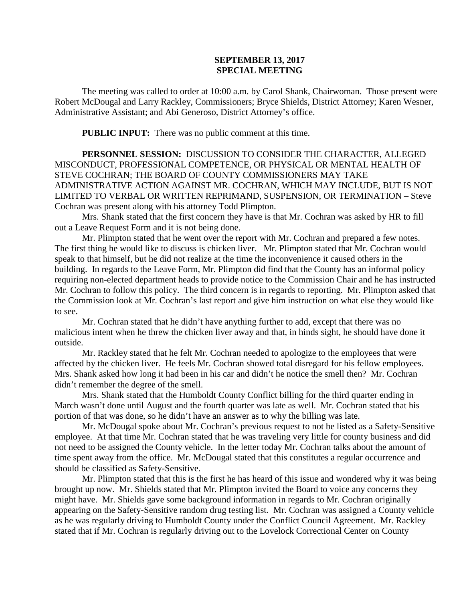## **SEPTEMBER 13, 2017 SPECIAL MEETING**

The meeting was called to order at 10:00 a.m. by Carol Shank, Chairwoman. Those present were Robert McDougal and Larry Rackley, Commissioners; Bryce Shields, District Attorney; Karen Wesner, Administrative Assistant; and Abi Generoso, District Attorney's office.

**PUBLIC INPUT:** There was no public comment at this time.

**PERSONNEL SESSION:** DISCUSSION TO CONSIDER THE CHARACTER, ALLEGED MISCONDUCT, PROFESSIONAL COMPETENCE, OR PHYSICAL OR MENTAL HEALTH OF STEVE COCHRAN; THE BOARD OF COUNTY COMMISSIONERS MAY TAKE ADMINISTRATIVE ACTION AGAINST MR. COCHRAN, WHICH MAY INCLUDE, BUT IS NOT LIMITED TO VERBAL OR WRITTEN REPRIMAND, SUSPENSION, OR TERMINATION – Steve Cochran was present along with his attorney Todd Plimpton.

Mrs. Shank stated that the first concern they have is that Mr. Cochran was asked by HR to fill out a Leave Request Form and it is not being done.

Mr. Plimpton stated that he went over the report with Mr. Cochran and prepared a few notes. The first thing he would like to discuss is chicken liver. Mr. Plimpton stated that Mr. Cochran would speak to that himself, but he did not realize at the time the inconvenience it caused others in the building. In regards to the Leave Form, Mr. Plimpton did find that the County has an informal policy requiring non-elected department heads to provide notice to the Commission Chair and he has instructed Mr. Cochran to follow this policy. The third concern is in regards to reporting. Mr. Plimpton asked that the Commission look at Mr. Cochran's last report and give him instruction on what else they would like to see.

Mr. Cochran stated that he didn't have anything further to add, except that there was no malicious intent when he threw the chicken liver away and that, in hinds sight, he should have done it outside.

Mr. Rackley stated that he felt Mr. Cochran needed to apologize to the employees that were affected by the chicken liver. He feels Mr. Cochran showed total disregard for his fellow employees. Mrs. Shank asked how long it had been in his car and didn't he notice the smell then? Mr. Cochran didn't remember the degree of the smell.

Mrs. Shank stated that the Humboldt County Conflict billing for the third quarter ending in March wasn't done until August and the fourth quarter was late as well. Mr. Cochran stated that his portion of that was done, so he didn't have an answer as to why the billing was late.

Mr. McDougal spoke about Mr. Cochran's previous request to not be listed as a Safety-Sensitive employee. At that time Mr. Cochran stated that he was traveling very little for county business and did not need to be assigned the County vehicle. In the letter today Mr. Cochran talks about the amount of time spent away from the office. Mr. McDougal stated that this constitutes a regular occurrence and should be classified as Safety-Sensitive.

Mr. Plimpton stated that this is the first he has heard of this issue and wondered why it was being brought up now. Mr. Shields stated that Mr. Plimpton invited the Board to voice any concerns they might have. Mr. Shields gave some background information in regards to Mr. Cochran originally appearing on the Safety-Sensitive random drug testing list. Mr. Cochran was assigned a County vehicle as he was regularly driving to Humboldt County under the Conflict Council Agreement. Mr. Rackley stated that if Mr. Cochran is regularly driving out to the Lovelock Correctional Center on County